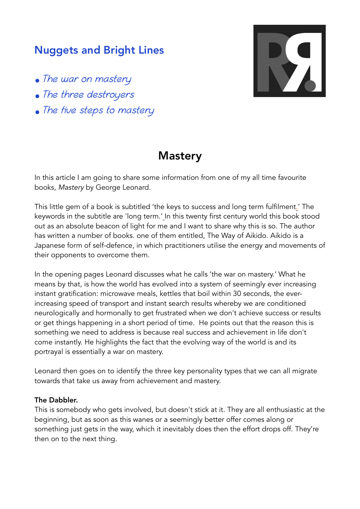## Nuggets and Bright Lines

- The war on mastery
- The three destroyers
- The five steps to mastery



# **Mastery**

In this article I am going to share some information from one of my all time favourite books, *Mastery* by George Leonard.

This little gem of a book is subtitled 'the keys to success and long term fulfilment.' The keywords in the subtitle are 'long term.' In this twenty first century world this book stood out as an absolute beacon of light for me and I want to share why this is so. The author has written a number of books. one of them entitled, The Way of Aikido. Aikido is a Japanese form of self-defence, in which practitioners utilise the energy and movements of their opponents to overcome them.

In the opening pages Leonard discusses what he calls 'the war on mastery.' What he means by that, is how the world has evolved into a system of seemingly ever increasing instant gratification: microwave meals, kettles that boil within 30 seconds, the everincreasing speed of transport and instant search results whereby we are conditioned neurologically and hormonally to get frustrated when we don't achieve success or results or get things happening in a short period of time. He points out that the reason this is something we need to address is because real success and achievement in life don't come instantly. He highlights the fact that the evolving way of the world is and its portrayal is essentially a war on mastery.

Leonard then goes on to identify the three key personality types that we can all migrate towards that take us away from achievement and mastery.

### The Dabbler.

This is somebody who gets involved, but doesn't stick at it. They are all enthusiastic at the beginning, but as soon as this wanes or a seemingly better offer comes along or something just gets in the way, which it inevitably does then the effort drops off. They're then on to the next thing.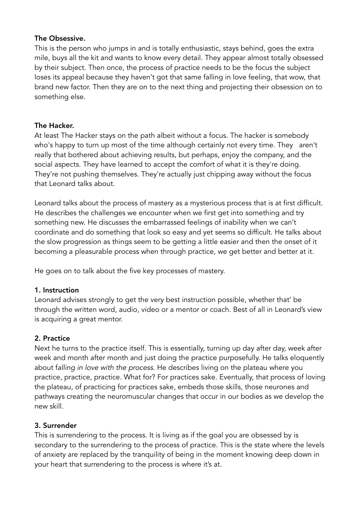### The Obsessive.

This is the person who jumps in and is totally enthusiastic, stays behind, goes the extra mile, buys all the kit and wants to know every detail. They appear almost totally obsessed by their subject. Then once, the process of practice needs to be the focus the subject loses its appeal because they haven't got that same falling in love feeling, that wow, that brand new factor. Then they are on to the next thing and projecting their obsession on to something else.

## The Hacker.

At least The Hacker stays on the path albeit without a focus. The hacker is somebody who's happy to turn up most of the time although certainly not every time. They aren't really that bothered about achieving results, but perhaps, enjoy the company, and the social aspects. They have learned to accept the comfort of what it is they're doing. They're not pushing themselves. They're actually just chipping away without the focus that Leonard talks about.

Leonard talks about the process of mastery as a mysterious process that is at first difficult. He describes the challenges we encounter when we first get into something and try something new. He discusses the embarrassed feelings of inability when we can't coordinate and do something that look so easy and yet seems so difficult. He talks about the slow progression as things seem to be getting a little easier and then the onset of it becoming a pleasurable process when through practice, we get better and better at it.

He goes on to talk about the five key processes of mastery.

## 1. Instruction

Leonard advises strongly to get the very best instruction possible, whether that' be through the written word, audio, video or a mentor or coach. Best of all in Leonard's view is acquiring a great mentor.

## 2. Practice

Next he turns to the practice itself. This is essentially, turning up day after day, week after week and month after month and just doing the practice purposefully. He talks eloquently about f*alling in love with the process.* He describes living on the plateau where you practice, practice, practice. What for? For practices sake. Eventually, that process of loving the plateau, of practicing for practices sake, embeds those skills, those neurones and pathways creating the neuromuscular changes that occur in our bodies as we develop the new skill.

## 3. Surrender

This is surrendering to the process. It is living as if the goal you are obsessed by is secondary to the surrendering to the process of practice. This is the state where the levels of anxiety are replaced by the tranquility of being in the moment knowing deep down in your heart that surrendering to the process is where it's at.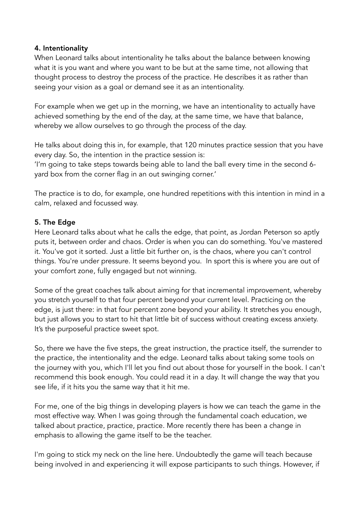#### 4. Intentionality

When Leonard talks about intentionality he talks about the balance between knowing what it is you want and where you want to be but at the same time, not allowing that thought process to destroy the process of the practice. He describes it as rather than seeing your vision as a goal or demand see it as an intentionality.

For example when we get up in the morning, we have an intentionality to actually have achieved something by the end of the day, at the same time, we have that balance, whereby we allow ourselves to go through the process of the day.

He talks about doing this in, for example, that 120 minutes practice session that you have every day. So, the intention in the practice session is:

'I'm going to take steps towards being able to land the ball every time in the second 6 yard box from the corner flag in an out swinging corner.'

The practice is to do, for example, one hundred repetitions with this intention in mind in a calm, relaxed and focussed way.

### 5. The Edge

Here Leonard talks about what he calls the edge, that point, as Jordan Peterson so aptly puts it, between order and chaos. Order is when you can do something. You've mastered it. You've got it sorted. Just a little bit further on, is the chaos, where you can't control things. You're under pressure. It seems beyond you. In sport this is where you are out of your comfort zone, fully engaged but not winning.

Some of the great coaches talk about aiming for that incremental improvement, whereby you stretch yourself to that four percent beyond your current level. Practicing on the edge, is just there: in that four percent zone beyond your ability. It stretches you enough, but just allows you to start to hit that little bit of success without creating excess anxiety. It's the purposeful practice sweet spot.

So, there we have the five steps, the great instruction, the practice itself, the surrender to the practice, the intentionality and the edge. Leonard talks about taking some tools on the journey with you, which I'll let you find out about those for yourself in the book. I can't recommend this book enough. You could read it in a day. It will change the way that you see life, if it hits you the same way that it hit me.

For me, one of the big things in developing players is how we can teach the game in the most effective way. When I was going through the fundamental coach education, we talked about practice, practice, practice. More recently there has been a change in emphasis to allowing the game itself to be the teacher.

I'm going to stick my neck on the line here. Undoubtedly the game will teach because being involved in and experiencing it will expose participants to such things. However, if